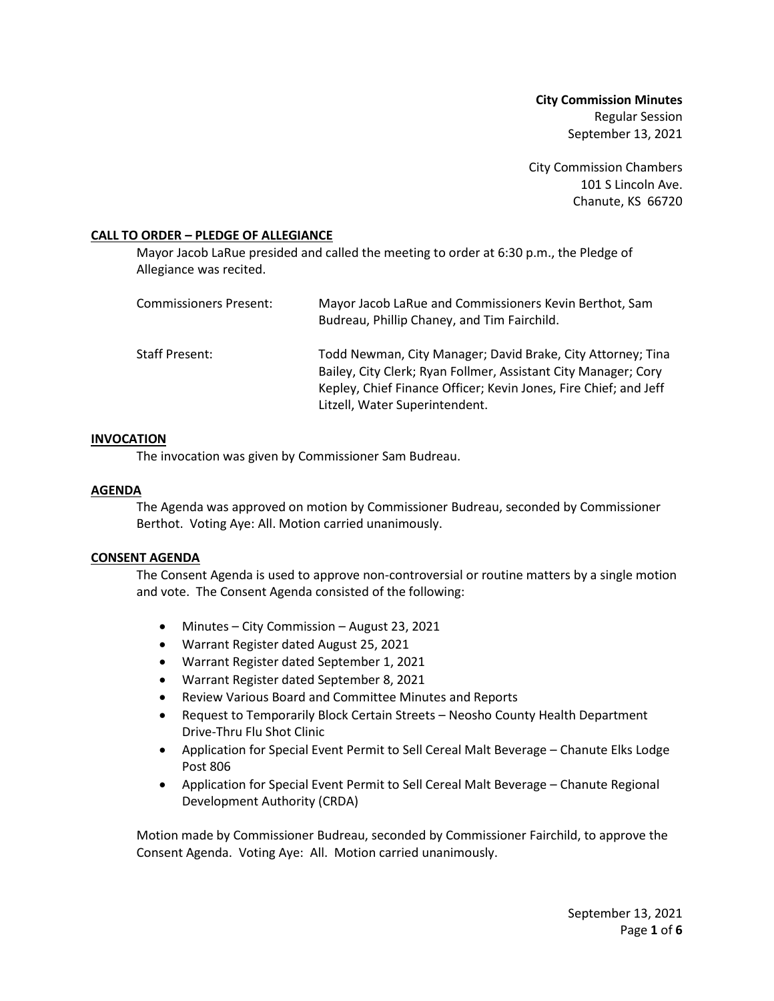**City Commission Minutes** Regular Session September 13, 2021

City Commission Chambers 101 S Lincoln Ave. Chanute, KS 66720

### **CALL TO ORDER – PLEDGE OF ALLEGIANCE**

Mayor Jacob LaRue presided and called the meeting to order at 6:30 p.m., the Pledge of Allegiance was recited.

| Commissioners Present: | Mayor Jacob LaRue and Commissioners Kevin Berthot, Sam<br>Budreau, Phillip Chaney, and Tim Fairchild.                                                                                                                               |
|------------------------|-------------------------------------------------------------------------------------------------------------------------------------------------------------------------------------------------------------------------------------|
| Staff Present:         | Todd Newman, City Manager; David Brake, City Attorney; Tina<br>Bailey, City Clerk; Ryan Follmer, Assistant City Manager; Cory<br>Kepley, Chief Finance Officer; Kevin Jones, Fire Chief; and Jeff<br>Litzell, Water Superintendent. |

### **INVOCATION**

The invocation was given by Commissioner Sam Budreau.

### **AGENDA**

The Agenda was approved on motion by Commissioner Budreau, seconded by Commissioner Berthot. Voting Aye: All. Motion carried unanimously.

### **CONSENT AGENDA**

The Consent Agenda is used to approve non-controversial or routine matters by a single motion and vote. The Consent Agenda consisted of the following:

- Minutes City Commission August 23, 2021
- Warrant Register dated August 25, 2021
- Warrant Register dated September 1, 2021
- Warrant Register dated September 8, 2021
- Review Various Board and Committee Minutes and Reports
- Request to Temporarily Block Certain Streets Neosho County Health Department Drive-Thru Flu Shot Clinic
- Application for Special Event Permit to Sell Cereal Malt Beverage Chanute Elks Lodge Post 806
- Application for Special Event Permit to Sell Cereal Malt Beverage Chanute Regional Development Authority (CRDA)

Motion made by Commissioner Budreau, seconded by Commissioner Fairchild, to approve the Consent Agenda. Voting Aye: All. Motion carried unanimously.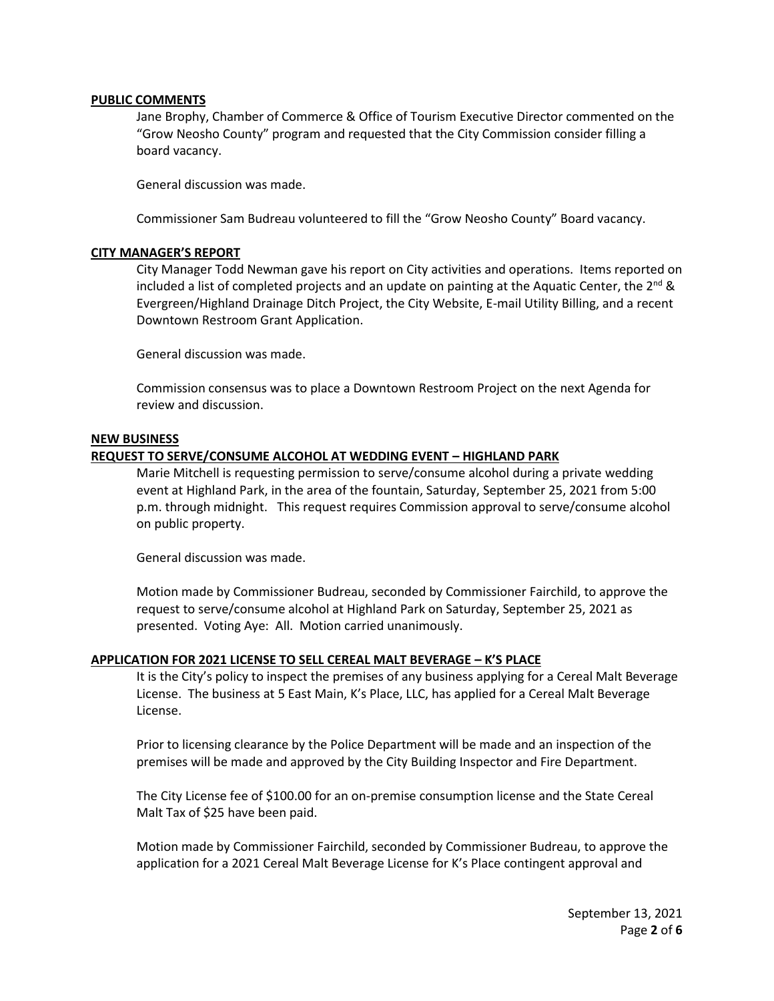### **PUBLIC COMMENTS**

Jane Brophy, Chamber of Commerce & Office of Tourism Executive Director commented on the "Grow Neosho County" program and requested that the City Commission consider filling a board vacancy.

General discussion was made.

Commissioner Sam Budreau volunteered to fill the "Grow Neosho County" Board vacancy.

### **CITY MANAGER'S REPORT**

City Manager Todd Newman gave his report on City activities and operations. Items reported on included a list of completed projects and an update on painting at the Aquatic Center, the 2<sup>nd</sup> & Evergreen/Highland Drainage Ditch Project, the City Website, E-mail Utility Billing, and a recent Downtown Restroom Grant Application.

General discussion was made.

Commission consensus was to place a Downtown Restroom Project on the next Agenda for review and discussion.

### **NEW BUSINESS**

# **REQUEST TO SERVE/CONSUME ALCOHOL AT WEDDING EVENT – HIGHLAND PARK**

Marie Mitchell is requesting permission to serve/consume alcohol during a private wedding event at Highland Park, in the area of the fountain, Saturday, September 25, 2021 from 5:00 p.m. through midnight. This request requires Commission approval to serve/consume alcohol on public property.

General discussion was made.

Motion made by Commissioner Budreau, seconded by Commissioner Fairchild, to approve the request to serve/consume alcohol at Highland Park on Saturday, September 25, 2021 as presented. Voting Aye: All. Motion carried unanimously.

# **APPLICATION FOR 2021 LICENSE TO SELL CEREAL MALT BEVERAGE – K'S PLACE**

It is the City's policy to inspect the premises of any business applying for a Cereal Malt Beverage License. The business at 5 East Main, K's Place, LLC, has applied for a Cereal Malt Beverage License.

Prior to licensing clearance by the Police Department will be made and an inspection of the premises will be made and approved by the City Building Inspector and Fire Department.

The City License fee of \$100.00 for an on-premise consumption license and the State Cereal Malt Tax of \$25 have been paid.

Motion made by Commissioner Fairchild, seconded by Commissioner Budreau, to approve the application for a 2021 Cereal Malt Beverage License for K's Place contingent approval and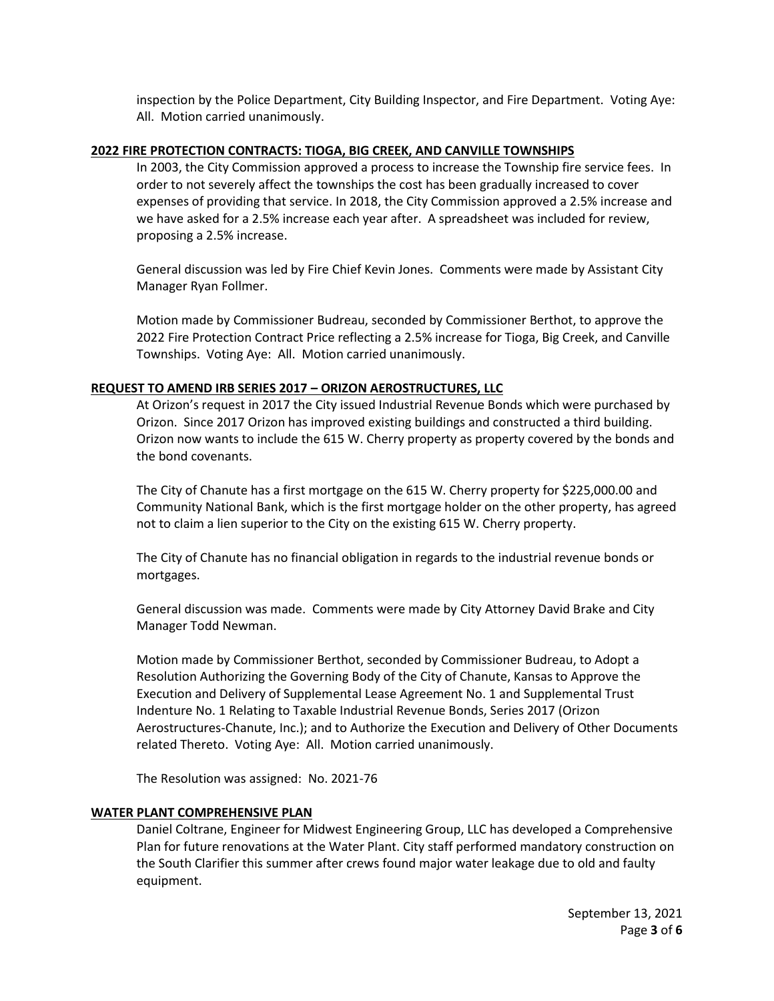inspection by the Police Department, City Building Inspector, and Fire Department. Voting Aye: All. Motion carried unanimously.

### **2022 FIRE PROTECTION CONTRACTS: TIOGA, BIG CREEK, AND CANVILLE TOWNSHIPS**

In 2003, the City Commission approved a process to increase the Township fire service fees. In order to not severely affect the townships the cost has been gradually increased to cover expenses of providing that service. In 2018, the City Commission approved a 2.5% increase and we have asked for a 2.5% increase each year after. A spreadsheet was included for review, proposing a 2.5% increase.

General discussion was led by Fire Chief Kevin Jones. Comments were made by Assistant City Manager Ryan Follmer.

Motion made by Commissioner Budreau, seconded by Commissioner Berthot, to approve the 2022 Fire Protection Contract Price reflecting a 2.5% increase for Tioga, Big Creek, and Canville Townships. Voting Aye: All. Motion carried unanimously.

# **REQUEST TO AMEND IRB SERIES 2017 – ORIZON AEROSTRUCTURES, LLC**

At Orizon's request in 2017 the City issued Industrial Revenue Bonds which were purchased by Orizon. Since 2017 Orizon has improved existing buildings and constructed a third building. Orizon now wants to include the 615 W. Cherry property as property covered by the bonds and the bond covenants.

The City of Chanute has a first mortgage on the 615 W. Cherry property for \$225,000.00 and Community National Bank, which is the first mortgage holder on the other property, has agreed not to claim a lien superior to the City on the existing 615 W. Cherry property.

The City of Chanute has no financial obligation in regards to the industrial revenue bonds or mortgages.

General discussion was made. Comments were made by City Attorney David Brake and City Manager Todd Newman.

Motion made by Commissioner Berthot, seconded by Commissioner Budreau, to Adopt a Resolution Authorizing the Governing Body of the City of Chanute, Kansas to Approve the Execution and Delivery of Supplemental Lease Agreement No. 1 and Supplemental Trust Indenture No. 1 Relating to Taxable Industrial Revenue Bonds, Series 2017 (Orizon Aerostructures-Chanute, Inc.); and to Authorize the Execution and Delivery of Other Documents related Thereto. Voting Aye: All. Motion carried unanimously.

The Resolution was assigned: No. 2021-76

# **WATER PLANT COMPREHENSIVE PLAN**

Daniel Coltrane, Engineer for Midwest Engineering Group, LLC has developed a Comprehensive Plan for future renovations at the Water Plant. City staff performed mandatory construction on the South Clarifier this summer after crews found major water leakage due to old and faulty equipment.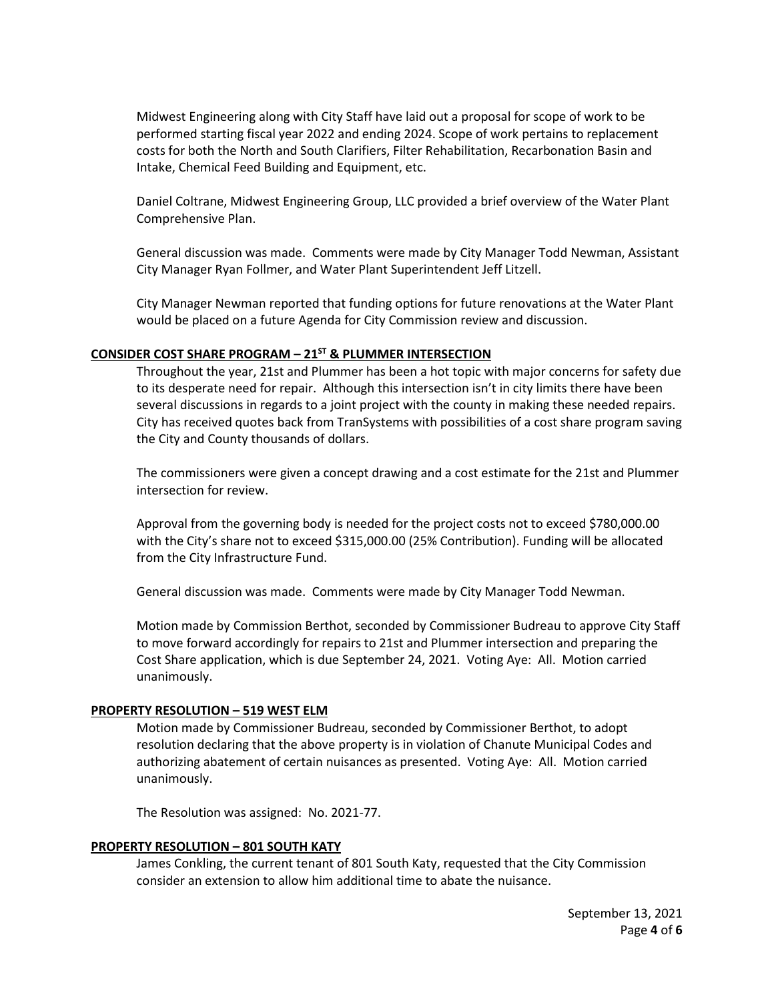Midwest Engineering along with City Staff have laid out a proposal for scope of work to be performed starting fiscal year 2022 and ending 2024. Scope of work pertains to replacement costs for both the North and South Clarifiers, Filter Rehabilitation, Recarbonation Basin and Intake, Chemical Feed Building and Equipment, etc.

Daniel Coltrane, Midwest Engineering Group, LLC provided a brief overview of the Water Plant Comprehensive Plan.

General discussion was made. Comments were made by City Manager Todd Newman, Assistant City Manager Ryan Follmer, and Water Plant Superintendent Jeff Litzell.

City Manager Newman reported that funding options for future renovations at the Water Plant would be placed on a future Agenda for City Commission review and discussion.

# **CONSIDER COST SHARE PROGRAM – 21ST & PLUMMER INTERSECTION**

Throughout the year, 21st and Plummer has been a hot topic with major concerns for safety due to its desperate need for repair. Although this intersection isn't in city limits there have been several discussions in regards to a joint project with the county in making these needed repairs. City has received quotes back from TranSystems with possibilities of a cost share program saving the City and County thousands of dollars.

The commissioners were given a concept drawing and a cost estimate for the 21st and Plummer intersection for review.

Approval from the governing body is needed for the project costs not to exceed \$780,000.00 with the City's share not to exceed \$315,000.00 (25% Contribution). Funding will be allocated from the City Infrastructure Fund.

General discussion was made. Comments were made by City Manager Todd Newman.

Motion made by Commission Berthot, seconded by Commissioner Budreau to approve City Staff to move forward accordingly for repairs to 21st and Plummer intersection and preparing the Cost Share application, which is due September 24, 2021. Voting Aye: All. Motion carried unanimously.

# **PROPERTY RESOLUTION – 519 WEST ELM**

Motion made by Commissioner Budreau, seconded by Commissioner Berthot, to adopt resolution declaring that the above property is in violation of Chanute Municipal Codes and authorizing abatement of certain nuisances as presented. Voting Aye: All. Motion carried unanimously.

The Resolution was assigned: No. 2021-77.

# **PROPERTY RESOLUTION – 801 SOUTH KATY**

James Conkling, the current tenant of 801 South Katy, requested that the City Commission consider an extension to allow him additional time to abate the nuisance.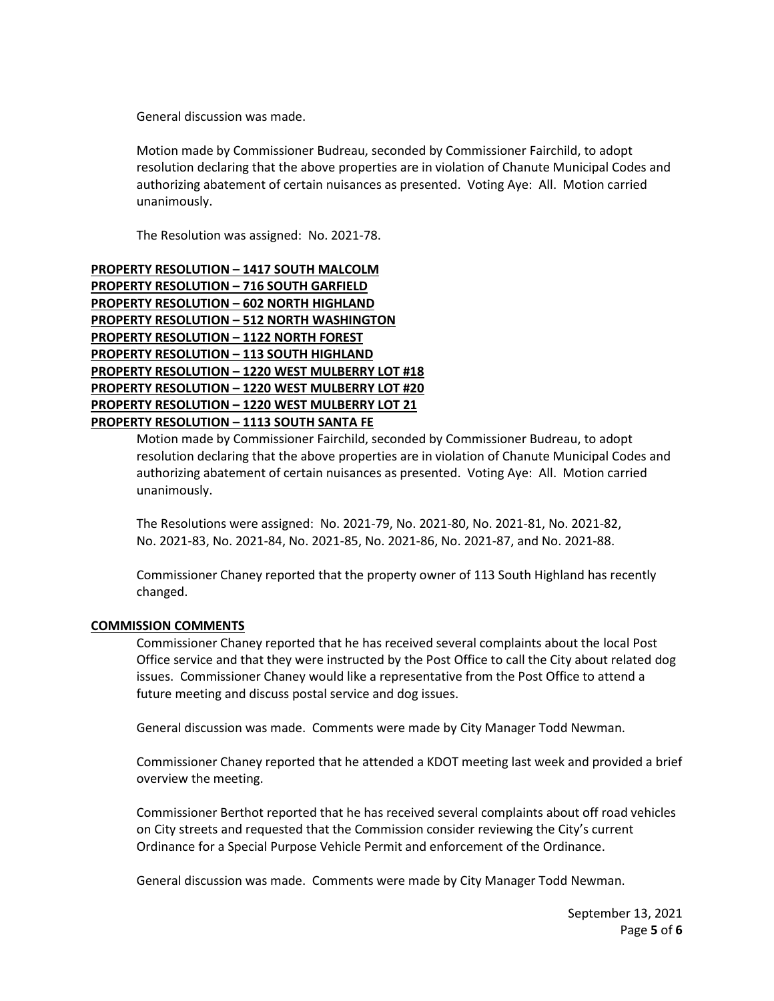General discussion was made.

Motion made by Commissioner Budreau, seconded by Commissioner Fairchild, to adopt resolution declaring that the above properties are in violation of Chanute Municipal Codes and authorizing abatement of certain nuisances as presented. Voting Aye: All. Motion carried unanimously.

The Resolution was assigned: No. 2021-78.

**PROPERTY RESOLUTION – 1417 SOUTH MALCOLM PROPERTY RESOLUTION – 716 SOUTH GARFIELD PROPERTY RESOLUTION – 602 NORTH HIGHLAND PROPERTY RESOLUTION – 512 NORTH WASHINGTON PROPERTY RESOLUTION – 1122 NORTH FOREST PROPERTY RESOLUTION – 113 SOUTH HIGHLAND PROPERTY RESOLUTION – 1220 WEST MULBERRY LOT #18 PROPERTY RESOLUTION – 1220 WEST MULBERRY LOT #20 PROPERTY RESOLUTION – 1220 WEST MULBERRY LOT 21 PROPERTY RESOLUTION – 1113 SOUTH SANTA FE**

> Motion made by Commissioner Fairchild, seconded by Commissioner Budreau, to adopt resolution declaring that the above properties are in violation of Chanute Municipal Codes and authorizing abatement of certain nuisances as presented. Voting Aye: All. Motion carried unanimously.

The Resolutions were assigned: No. 2021-79, No. 2021-80, No. 2021-81, No. 2021-82, No. 2021-83, No. 2021-84, No. 2021-85, No. 2021-86, No. 2021-87, and No. 2021-88.

Commissioner Chaney reported that the property owner of 113 South Highland has recently changed.

### **COMMISSION COMMENTS**

Commissioner Chaney reported that he has received several complaints about the local Post Office service and that they were instructed by the Post Office to call the City about related dog issues. Commissioner Chaney would like a representative from the Post Office to attend a future meeting and discuss postal service and dog issues.

General discussion was made. Comments were made by City Manager Todd Newman.

Commissioner Chaney reported that he attended a KDOT meeting last week and provided a brief overview the meeting.

Commissioner Berthot reported that he has received several complaints about off road vehicles on City streets and requested that the Commission consider reviewing the City's current Ordinance for a Special Purpose Vehicle Permit and enforcement of the Ordinance.

General discussion was made. Comments were made by City Manager Todd Newman.